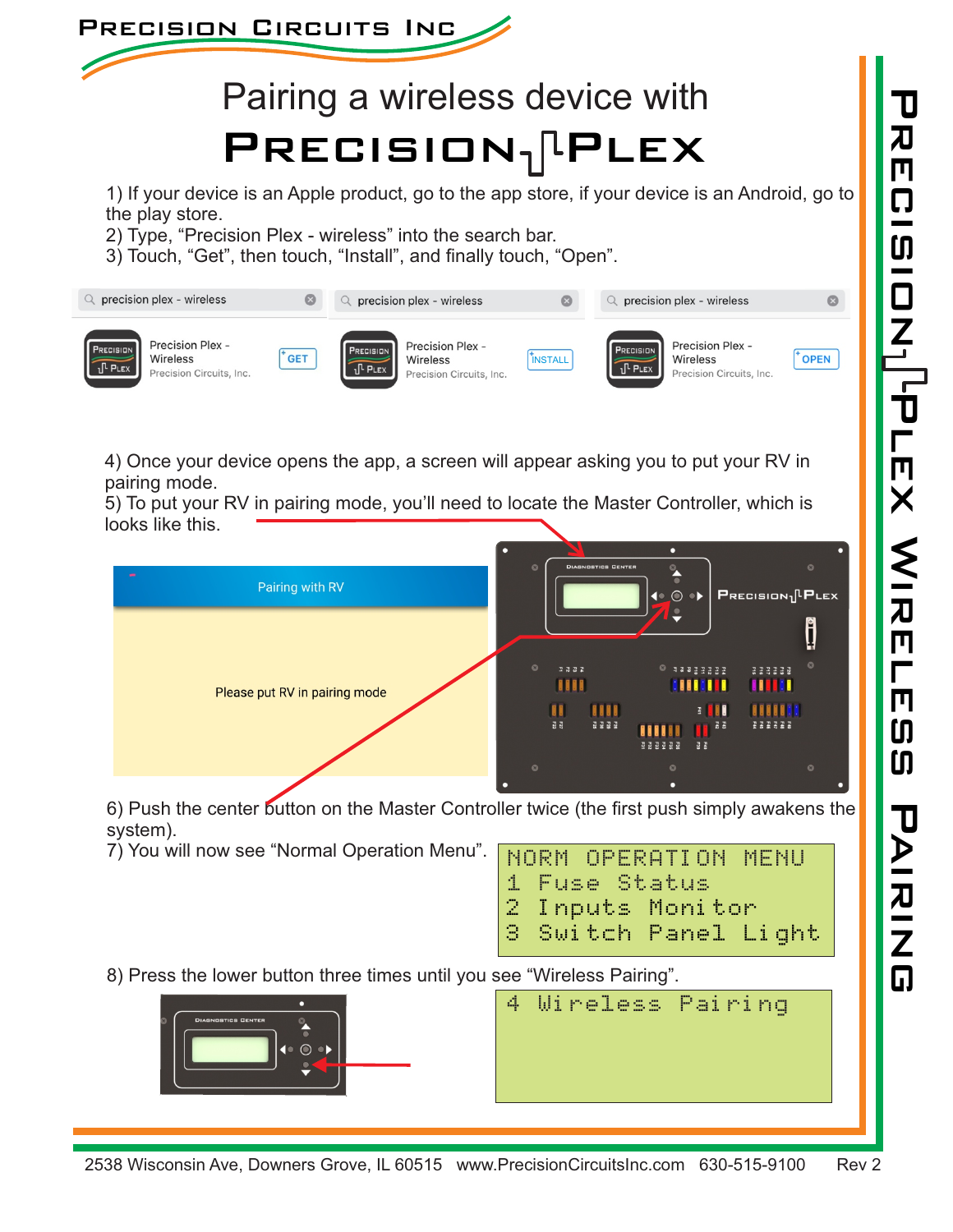

## Pairing a wireless device with  $PRECISION<sub>1</sub>$ PLEX

1) If your device is an Apple product, go to the app store, if your device is an Android, go to the play store.

- 2) Type, "Precision Plex wireless" into the search bar.
- 3) Touch, "Get", then touch, "Install", and finally touch, "Open".



4) Once your device opens the app, a screen will appear asking you to put your RV in pairing mode.

5) To put your RV in pairing mode, you'll need to locate the Master Controller, which is looks like this.



6) Push the center button on the Master Controller twice (the first push simply awakens the system).

7) You will now see "Normal Operation Menu".

|  | NORM OPERATION MENU  |  |
|--|----------------------|--|
|  | 1 Fuse Status        |  |
|  | 2 Inputs Monitor     |  |
|  | 3 Switch Panel Light |  |
|  |                      |  |

8) Press the lower button three times until you see "Wireless Pairing".



4 Wireless Pairing